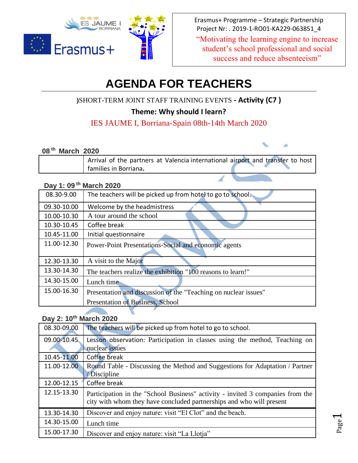

Erasmus+ Programme – Strategic Partnership Project Nr: . 2019-1-RO01-KA229-063851\_4

"Motivating the learning engine to increase student's school professional and social success and reduce absenteeism"

> Page  $\blacktriangleleft$

# **AGENDA FOR TEACHERS**

**)**SHORT-TERM JOINT STAFF TRAINING EVENTS **- Activity (C7 )**

**Theme: Why should I learn?**

## IES JAUME I, Borriana-Spain 08th-14th March 2020

#### **08 th March 2020**

| ___ |                                                                                |  |
|-----|--------------------------------------------------------------------------------|--|
|     | Arrival of the partners at Valencia international airport and transfer to host |  |
|     | <sup>I</sup> families in Borriana.                                             |  |

#### **Day 1: 09 th March 2020**

| 08.30-9.00  | The teachers will be picked up from hotel to go to school.      |
|-------------|-----------------------------------------------------------------|
| 09.30-10.00 | Welcome by the headmistress                                     |
| 10.00-10.30 | A tour around the school                                        |
| 10.30-10.45 | Coffee break                                                    |
| 10.45-11.00 | Initial questionnaire                                           |
| 11.00-12.30 | Power-Point Presentations-Social and economic agents            |
|             |                                                                 |
| 12.30-13.30 | A visit to the Major                                            |
| 13.30-14.30 | The teachers realize the exhibition "100 reasons to learn!"     |
| 14.30-15.00 | Lunch time                                                      |
| 15.00-16.30 | Presentation and discussion of the "Teaching on nuclear issues" |
|             | Presentation of Business, School                                |

## **Day 2: 10th March 2020**

 $\blacktriangledown$ 

| 08.30-09.00 | The teachers will be picked up from hotel to go to school.                                                                                             |
|-------------|--------------------------------------------------------------------------------------------------------------------------------------------------------|
| 09.00-10.45 | Lesson observation: Participation in classes using the method, Teaching on                                                                             |
|             | nuclear issues                                                                                                                                         |
| 10.45-11.00 | Coffee break                                                                                                                                           |
| 11.00-12.00 | Round Table - Discussing the Method and Suggestions for Adaptation / Partner                                                                           |
|             | / Discipline                                                                                                                                           |
| 12.00-12.15 | Coffee break                                                                                                                                           |
| 12.15-13.30 | Participation in the "School Business" activity - invited 3 companies from the<br>city with whom they have concluded partnerships and who will present |
| 13.30-14.30 | Discover and enjoy nature: visit "El Clot" and the beach.                                                                                              |
|             |                                                                                                                                                        |
| 14.30-15.00 | Lunch time                                                                                                                                             |
| 15.00-17.30 | Discover and enjoy nature: visit "La Llotja"                                                                                                           |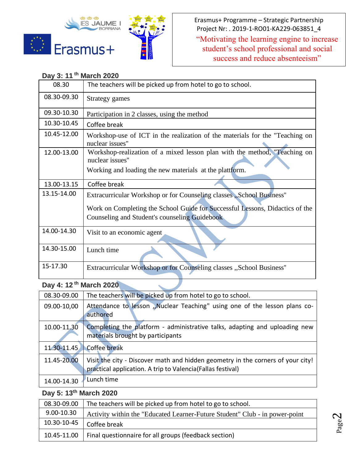



Erasmus+ Programme – Strategic Partnership Project Nr: . 2019-1-RO01-KA229-063851\_4

"Motivating the learning engine to increase student's school professional and social success and reduce absenteeism"

## **Day 3: 11 th March 2020**

| 08.30       | The teachers will be picked up from hotel to go to school.                                      |  |
|-------------|-------------------------------------------------------------------------------------------------|--|
| 08.30-09.30 | Strategy games                                                                                  |  |
| 09.30-10.30 | Participation in 2 classes, using the method                                                    |  |
| 10.30-10.45 | Coffee break                                                                                    |  |
| 10.45-12.00 | Workshop-use of ICT in the realization of the materials for the "Teaching on<br>nuclear issues" |  |
| 12.00-13.00 | Workshop-realization of a mixed lesson plan with the method, "Teaching on<br>nuclear issues"    |  |
|             | Working and loading the new materials at the plattform.                                         |  |
| 13.00-13.15 | Coffee break                                                                                    |  |
| 13.15-14.00 | Extracurricular Workshop or for Counseling classes, School Business"                            |  |
|             | Work on Completing the School Guide for Successful Lessons, Didactics of the                    |  |
|             | Counseling and Student's counseling Guidebook                                                   |  |
| 14.00-14.30 | Visit to an economic agent                                                                      |  |
| 14.30-15.00 | Lunch time                                                                                      |  |
| 15-17.30    | Extracurricular Workshop or for Counseling classes "School Business"                            |  |

# **Day 4: 12 th March 2020**

| 08.30-09.00 | The teachers will be picked up from hotel to go to school.                                                                                     |  |
|-------------|------------------------------------------------------------------------------------------------------------------------------------------------|--|
| 09.00-10,00 | Attendance to lesson "Nuclear Teaching" using one of the lesson plans co-<br>authored                                                          |  |
| 10.00-11.30 | Completing the platform - administrative talks, adapting and uploading new<br>materials brought by participants                                |  |
| 11.30-11.45 | Coffee break                                                                                                                                   |  |
| 11.45-20.00 | Visit the city - Discover math and hidden geometry in the corners of your city!<br>practical application. A trip to Valencia (Fallas festival) |  |
| 14.00-14.30 | Lunch time                                                                                                                                     |  |

## **Day 5: 13th March 2020**

| 08.30-09.00    | The teachers will be picked up from hotel to go to school.                  |  |
|----------------|-----------------------------------------------------------------------------|--|
| $9.00 - 10.30$ | Activity within the "Educated Learner-Future Student" Club - in power-point |  |
| 10.30-10-45    | Coffee break                                                                |  |
| 10.45-11.00    | Final questionnaire for all groups (feedback section)                       |  |

Page  $\mathrel{\sim}$